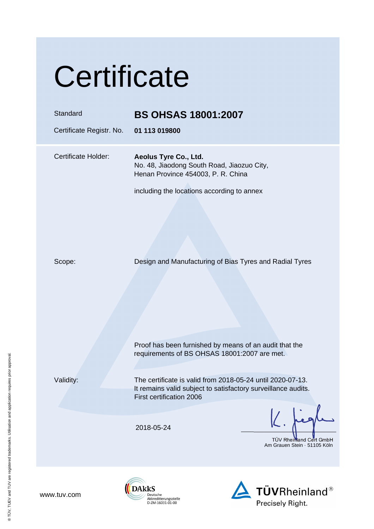# **Certificate**

| Standard<br>Certificate Registr. No. | <b>BS OHSAS 18001:2007</b><br>01 113 019800                                                                                                             |
|--------------------------------------|---------------------------------------------------------------------------------------------------------------------------------------------------------|
| Certificate Holder:                  | Aeolus Tyre Co., Ltd.<br>No. 48, Jiaodong South Road, Jiaozuo City,<br>Henan Province 454003, P. R. China<br>including the locations according to annex |
| Scope:                               | Design and Manufacturing of Bias Tyres and Radial Tyres                                                                                                 |
|                                      | Proof has been furnished by means of an audit that the<br>requirements of BS OHSAS 18001:2007 are met.                                                  |
| Validity:                            | The certificate is valid from 2018-05-24 until 2020-07-13.<br>It remains valid subject to satisfactory surveillance audits.<br>First certification 2006 |
|                                      | 2018-05-24<br>TÜV Rheimand Cert GmbH<br>Am Grauen Stein · 51105 Köln                                                                                    |

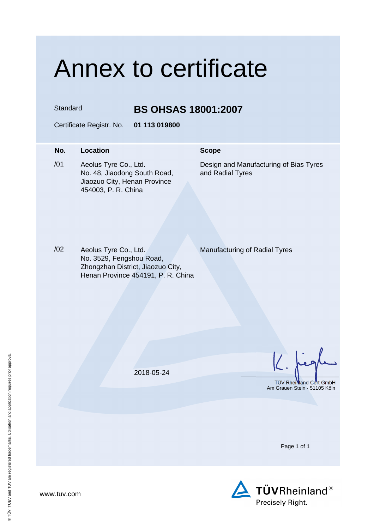### Annex to certificate

Standard **BS OHSAS 18001:2007** 

Certificate Registr. No. **01 113 019800** 

### **No.** Location **Scope** /01 Aeolus Tyre Co., Ltd. No. 48, Jiaodong South Road, Jiaozuo City, Henan Province 454003, P. R. China Design and Manufacturing of Bias Tyres and Radial Tyres

/02 Aeolus Tyre Co., Ltd. No. 3529, Fengshou Road, Zhongzhan District, Jiaozuo City, Henan Province 454191, P. R. China

Manufacturing of Radial Tyres

2018-05-24

TÜV Rheinland Cert GmbH Am Grauen Stein · 51105 Köln

Page 1 of 1



www.tuv.com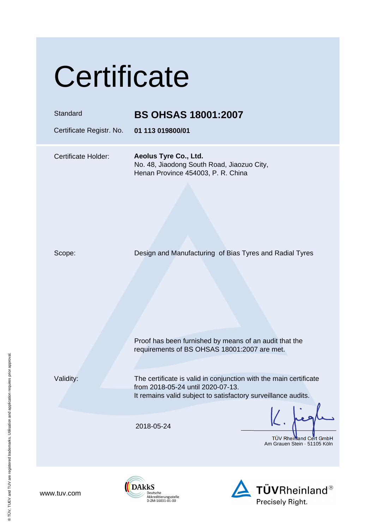# **Certificate**

### Standard **BS OHSAS 18001:2007**

Certificate Registr. No. **01 113 019800/01**

Certificate Holder: **Aeolus Tyre Co., Ltd.**  No. 48, Jiaodong South Road, Jiaozuo City, Henan Province 454003, P. R. China

Scope: Design and Manufacturing of Bias Tyres and Radial Tyres

Validity: The certificate is valid in conjunction with the main certificate from 2018-05-24 until 2020-07-13. It remains valid subject to satisfactory surveillance audits.

 Proof has been furnished by means of an audit that the requirements of BS OHSAS 18001:2007 are met.

2018-05-24

**DAKKS** 

Deutsche Akkreditierungsstelle D-ZM-16031-01-00

TÜV Rheimand Cert GmbH Am Grauen Stein · 51105 Köln



www.tuv.com